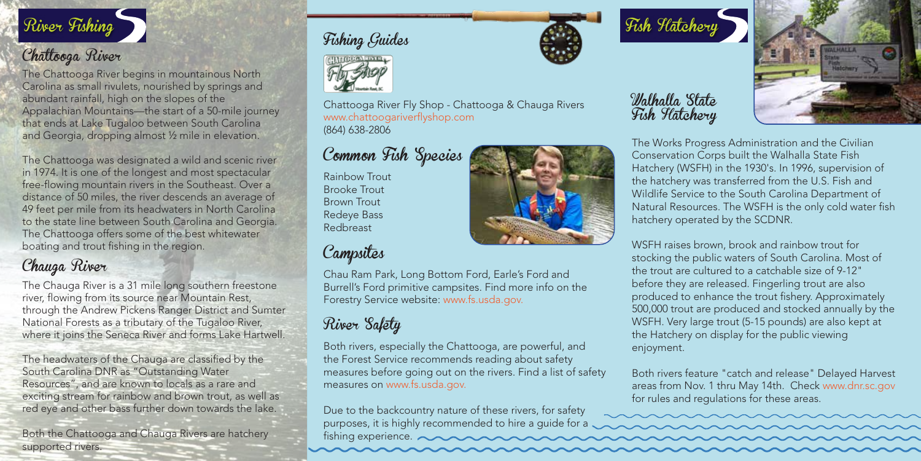

#### Chattooga River

The Chattooga River begins in mountainous North Carolina as small rivulets, nourished by springs and abundant rainfall, high on the slopes of the Appalachian Mountains—the start of a 50-mile journey that ends at Lake Tugaloo between South Carolina and Georgia, dropping almost ½ mile in elevation.

The Chattooga was designated a wild and scenic river in 1974. It is one of the longest and most spectacular free-flowing mountain rivers in the Southeast. Over a distance of 50 miles, the river descends an average of 49 feet per mile from its headwaters in North Carolina to the state line between South Carolina and Georgia. The Chattooga offers some of the best whitewater boating and trout fishing in the region.

## Chauga River

The Chauga River is a 31 mile long southern freestone river, flowing from its source near Mountain Rest, through the Andrew Pickens Ranger District and Sumter National Forests as a tributary of the Tugaloo River, where it joins the Seneca River and forms Lake Hartwell.

The headwaters of the Chauga are classified by the South Carolina DNR as "Outstanding Water Resources", and are known to locals as a rare and exciting stream for rainbow and brown trout, as well as red eye and other bass further down towards the lake.

Both the Chattooga and Chauga Rivers are hatchery supported rivers.

### Fishing Guides



Chattooga River Fly Shop - Chattooga & Chauga Rivers www.chattoogariverflyshop.com (864) 638-2806

## Common Fish Species

Rainbow Trout Brooke Trout Brown Trout Redeye Bass Redbreast

### Campsites

Chau Ram Park, Long Bottom Ford, Earle's Ford and Burrell's Ford primitive campsites. Find more info on the Forestry Service website: www.fs.usda.gov.

# River Salety

Both rivers, especially the Chattooga, are powerful, and the Forest Service recommends reading about safety measures before going out on the rivers. Find a list of safety measures on www.fs.usda.gov.

Due to the backcountry nature of these rivers, for safety purposes, it is highly recommended to hire a guide for a fishing experience.



Walhalla State Fish Hatchery



The Works Progress Administration and the Civilian Conservation Corps built the Walhalla State Fish Hatchery (WSFH) in the 1930's. In 1996, supervision of the hatchery was transferred from the U.S. Fish and Wildlife Service to the South Carolina Department of Natural Resources. The WSFH is the only cold water fish hatchery operated by the SCDNR.

WSFH raises brown, brook and rainbow trout for stocking the public waters of South Carolina. Most of the trout are cultured to a catchable size of 9-12" before they are released. Fingerling trout are also produced to enhance the trout fishery. Approximately 500,000 trout are produced and stocked annually by the WSFH. Very large trout (5-15 pounds) are also kept at the Hatchery on display for the public viewing enjoyment.

Both rivers feature "catch and release" Delayed Harvest areas from Nov. 1 thru May 14th. Check www.dnr.sc.gov for rules and regulations for these areas.

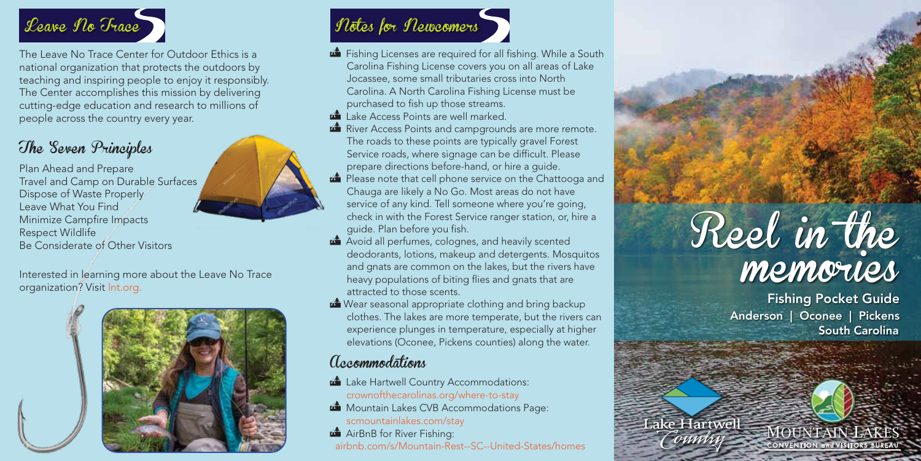

The Leave No Trace Center for Outdoor Ethics is a national organization that protects the outdoors by teaching and inspiring people to enjoy it responsibly. The Center accomplishes this mission by delivering cutting-edge education and research to millions of people across the country every year.

## The Seven Principles

Plan Ahead and Prepare Travel and Camp on Durable Surfaces Dispose of Waste Properly Leave What You Find Minimize Campfire Impacts Respect Wildlife Be Considerate of Other Visitors

Interested in learning more about the Leave No Trace organization? Visit lnt.org.





- Fishing Licenses are required for all fishing. While a South Carolina Fishing License covers you on all areas of Lake Jocassee, some small tributaries cross into North Carolina. A North Carolina Fishing License must be purchased to fish up those streams.
- **Lake Access Points are well marked.**
- River Access Points and campgrounds are more remote. The roads to these points are typically gravel Forest Service roads, where signage can be difficult. Please prepare directions before-hand, or hire a guide.
- **Please note that cell phone service on the Chattooga and** Chauga are likely a No Go. Most areas do not have service of any kind. Tell someone where you're going, check in with the Forest Service ranger station, or, hire a guide. Plan before you fish.
- Avoid all perfumes, colognes, and heavily scented deodorants, lotions, makeup and detergents. Mosquitos and gnats are common on the lakes, but the rivers have heavy populations of biting flies and gnats that are attracted to those scents.
- Wear seasonal appropriate clothing and bring backup clothes. The lakes are more temperate, but the rivers can experience plunges in temperature, especially at higher elevations (Oconee, Pickens counties) along the water.

#### Accommodations

- **Lake Hartwell Country Accommodations:** crownofthecarolinas.org/where-to-stay
- **Mountain Lakes CVB Accommodations Page:** scmountainlakes.com/stay
- AirBnB for River Fishing: airbnb.com/s/Mountain-Rest--SC--United-States/homes

# Reel in the memories

Lake Hartwell **MOUNTAIN LAKE** 

Fishing Pocket Guide Anderson | Oconee | Pickens South Carolina

CONVENTION and VISITORS BUREAU